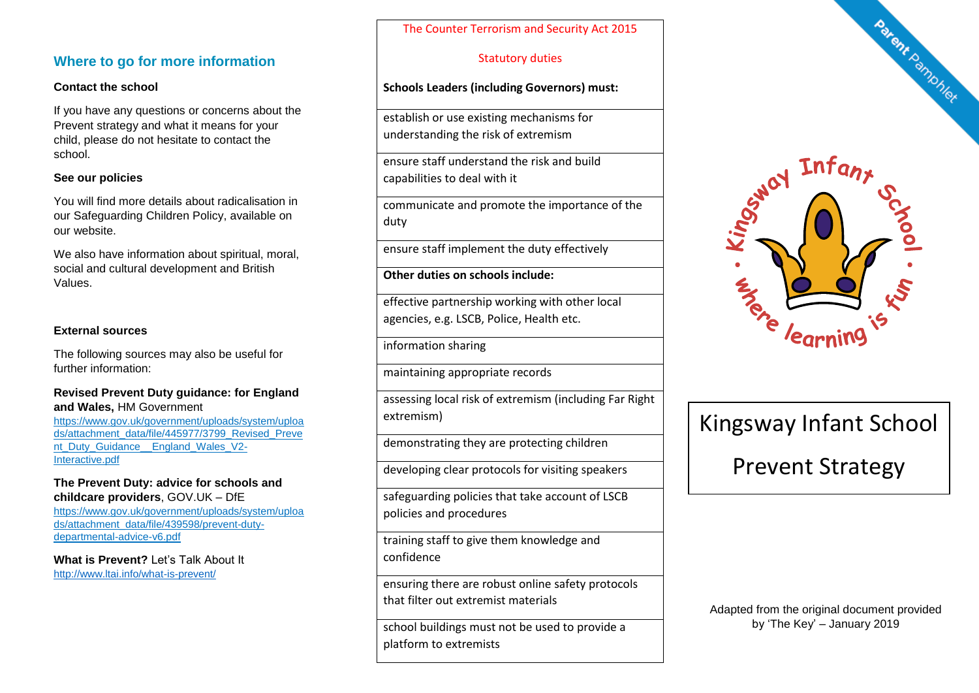## **Where to go for more information**

#### **Contact the school**

If you have any questions or concerns about the Prevent strategy and what it means for your child, please do not hesitate to contact the school.

#### **See our policies**

You will find more details about radicalisation in our Safeguarding Children Policy, available on our website.

We also have information about spiritual, moral, social and cultural development and British Values.

## **External sources**

The following sources may also be useful for further information:

#### **Revised Prevent Duty guidance: for England and Wales,** HM Government

[https://www.gov.uk/government/uploads/system/uploa](https://www.gov.uk/government/uploads/system/uploads/attachment_data/file/445977/3799_Revised_Prevent_Duty_Guidance__England_Wales_V2-Interactive.pdf) [ds/attachment\\_data/file/445977/3799\\_Revised\\_Preve](https://www.gov.uk/government/uploads/system/uploads/attachment_data/file/445977/3799_Revised_Prevent_Duty_Guidance__England_Wales_V2-Interactive.pdf) [nt\\_Duty\\_Guidance\\_\\_England\\_Wales\\_V2-](https://www.gov.uk/government/uploads/system/uploads/attachment_data/file/445977/3799_Revised_Prevent_Duty_Guidance__England_Wales_V2-Interactive.pdf) [Interactive.pdf](https://www.gov.uk/government/uploads/system/uploads/attachment_data/file/445977/3799_Revised_Prevent_Duty_Guidance__England_Wales_V2-Interactive.pdf)

#### **The Prevent Duty: advice for schools and childcare providers**, GOV.UK – DfE

[https://www.gov.uk/government/uploads/system/uploa](https://www.gov.uk/government/uploads/system/uploads/attachment_data/file/439598/prevent-duty-departmental-advice-v6.pdf) [ds/attachment\\_data/file/439598/prevent-duty](https://www.gov.uk/government/uploads/system/uploads/attachment_data/file/439598/prevent-duty-departmental-advice-v6.pdf)[departmental-advice-v6.pdf](https://www.gov.uk/government/uploads/system/uploads/attachment_data/file/439598/prevent-duty-departmental-advice-v6.pdf)

**What is Prevent?** Let's Talk About It <http://www.ltai.info/what-is-prevent/>

The Counter Terrorism and Security Act 2015

## Statutory duties

### **Schools Leaders (including Governors) must:**

establish or use existing mechanisms for understanding the risk of extremism

ensure staff understand the risk and build capabilities to deal with it

communicate and promote the importance of the duty

ensure staff implement the duty effectively

**Other duties on schools include:**

effective partnership working with other local agencies, e.g. LSCB, Police, Health etc.

information sharing

maintaining appropriate records

assessing local risk of extremism (including Far Right extremism)

demonstrating they are protecting children

developing clear protocols for visiting speakers

safeguarding policies that take account of LSCB policies and procedures

training staff to give them knowledge and confidence

ensuring there are robust online safety protocols that filter out extremist materials

school buildings must not be used to provide a platform to extremists



# Kingsway Infant School

Prevent Strategy

Adapted from the original document provided by 'The Key' – January 2019